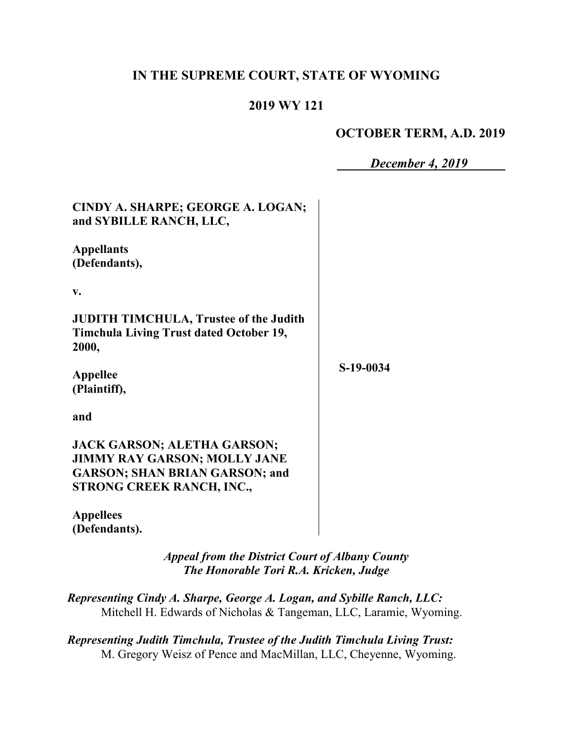# **IN THE SUPREME COURT, STATE OF WYOMING**

## **2019 WY 121**

## **OCTOBER TERM, A.D. 2019**

*December 4, 2019*

| CINDY A. SHARPE; GEORGE A. LOGAN;<br>and SYBILLE RANCH, LLC,                                                                                    |           |
|-------------------------------------------------------------------------------------------------------------------------------------------------|-----------|
| <b>Appellants</b><br>(Defendants),                                                                                                              |           |
| v.                                                                                                                                              |           |
| <b>JUDITH TIMCHULA, Trustee of the Judith</b><br><b>Timchula Living Trust dated October 19,</b><br>2000,                                        |           |
| <b>Appellee</b><br>(Plaintiff),                                                                                                                 | S-19-0034 |
| and                                                                                                                                             |           |
| <b>JACK GARSON; ALETHA GARSON;</b><br><b>JIMMY RAY GARSON; MOLLY JANE</b><br><b>GARSON; SHAN BRIAN GARSON; and</b><br>STRONG CREEK RANCH, INC., |           |
| <b>Appellees</b><br>(Defendants).                                                                                                               |           |

*Appeal from the District Court of Albany County The Honorable Tori R.A. Kricken, Judge*

*Representing Cindy A. Sharpe, George A. Logan, and Sybille Ranch, LLC:* Mitchell H. Edwards of Nicholas & Tangeman, LLC, Laramie, Wyoming.

*Representing Judith Timchula, Trustee of the Judith Timchula Living Trust:* M. Gregory Weisz of Pence and MacMillan, LLC, Cheyenne, Wyoming.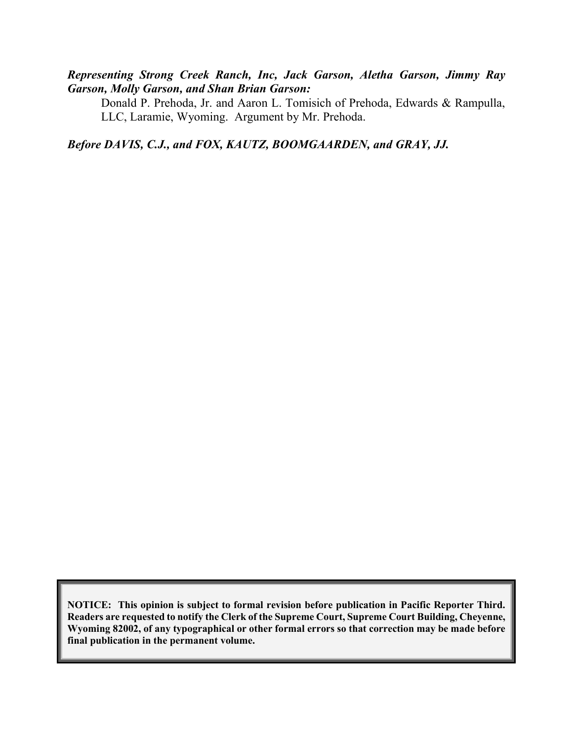### *Representing Strong Creek Ranch, Inc, Jack Garson, Aletha Garson, Jimmy Ray Garson, Molly Garson, and Shan Brian Garson:*

Donald P. Prehoda, Jr. and Aaron L. Tomisich of Prehoda, Edwards & Rampulla, LLC, Laramie, Wyoming. Argument by Mr. Prehoda.

*Before DAVIS, C.J., and FOX, KAUTZ, BOOMGAARDEN, and GRAY, JJ.*

**NOTICE: This opinion is subject to formal revision before publication in Pacific Reporter Third. Readers are requested to notify the Clerk of the Supreme Court, Supreme Court Building, Cheyenne, Wyoming 82002, of any typographical or other formal errors so that correction may be made before final publication in the permanent volume.**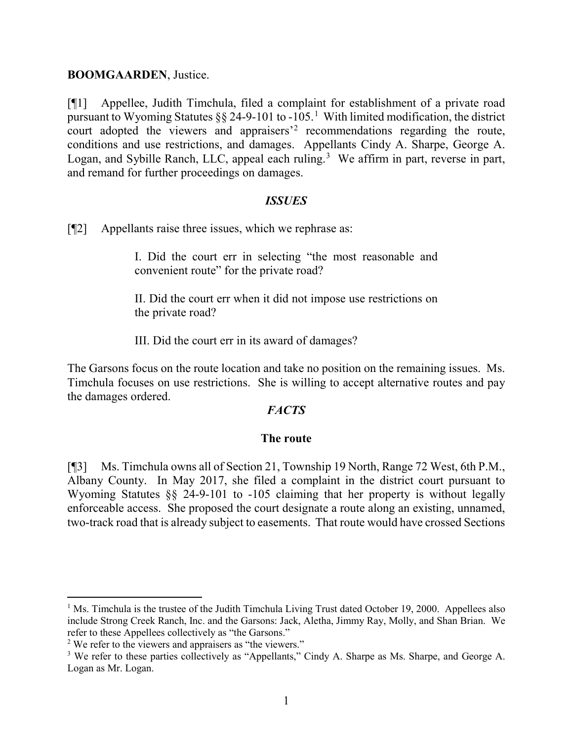#### **BOOMGAARDEN**, Justice.

[¶1] Appellee, Judith Timchula, filed a complaint for establishment of a private road pursuant to Wyoming Statutes  $\S\S 24$ -9-[1](#page-2-0)01 to -105.<sup>1</sup> With limited modification, the district court adopted the viewers and appraisers<sup>[2](#page-2-1)</sup> recommendations regarding the route, conditions and use restrictions, and damages. Appellants Cindy A. Sharpe, George A. Logan, and Sybille Ranch, LLC, appeal each ruling.<sup>[3](#page-2-2)</sup> We affirm in part, reverse in part, and remand for further proceedings on damages.

#### *ISSUES*

[¶2] Appellants raise three issues, which we rephrase as:

I. Did the court err in selecting "the most reasonable and convenient route" for the private road?

II. Did the court err when it did not impose use restrictions on the private road?

III. Did the court err in its award of damages?

The Garsons focus on the route location and take no position on the remaining issues. Ms. Timchula focuses on use restrictions. She is willing to accept alternative routes and pay the damages ordered.

### *FACTS*

#### **The route**

[¶3] Ms. Timchula owns all of Section 21, Township 19 North, Range 72 West, 6th P.M., Albany County. In May 2017, she filed a complaint in the district court pursuant to Wyoming Statutes  $\S$  24-9-101 to -105 claiming that her property is without legally enforceable access. She proposed the court designate a route along an existing, unnamed, two-track road that is already subject to easements. That route would have crossed Sections

<span id="page-2-0"></span><sup>&</sup>lt;sup>1</sup> Ms. Timchula is the trustee of the Judith Timchula Living Trust dated October 19, 2000. Appellees also include Strong Creek Ranch, Inc. and the Garsons: Jack, Aletha, Jimmy Ray, Molly, and Shan Brian. We refer to these Appellees collectively as "the Garsons."

<span id="page-2-1"></span><sup>&</sup>lt;sup>2</sup> We refer to the viewers and appraisers as "the viewers."

<span id="page-2-2"></span><sup>&</sup>lt;sup>3</sup> We refer to these parties collectively as "Appellants," Cindy A. Sharpe as Ms. Sharpe, and George A. Logan as Mr. Logan.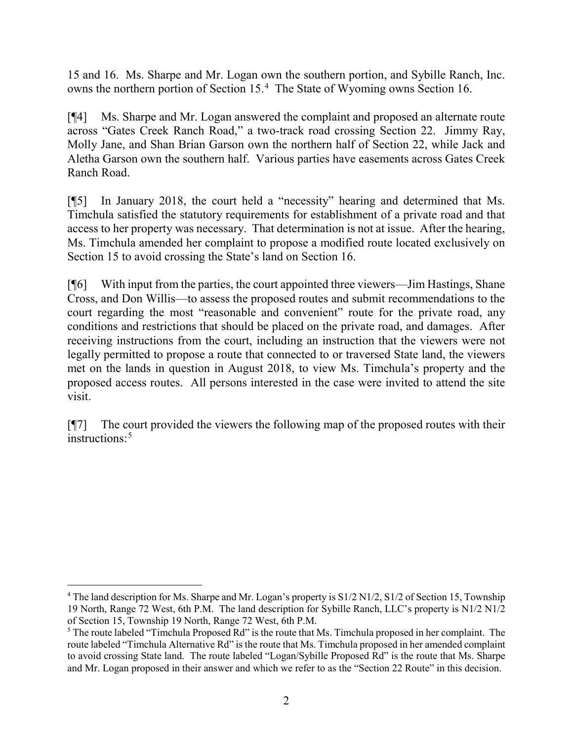15 and 16. Ms. Sharpe and Mr. Logan own the southern portion, and Sybille Ranch, Inc. owns the northern portion of Section 15. [4](#page-3-0) The State of Wyoming owns Section 16.

[¶4] Ms. Sharpe and Mr. Logan answered the complaint and proposed an alternate route across "Gates Creek Ranch Road," a two-track road crossing Section 22. Jimmy Ray, Molly Jane, and Shan Brian Garson own the northern half of Section 22, while Jack and Aletha Garson own the southern half. Various parties have easements across Gates Creek Ranch Road.

[¶5] In January 2018, the court held a "necessity" hearing and determined that Ms. Timchula satisfied the statutory requirements for establishment of a private road and that access to her property was necessary. That determination is not at issue. After the hearing, Ms. Timchula amended her complaint to propose a modified route located exclusively on Section 15 to avoid crossing the State's land on Section 16.

[¶6] With input from the parties, the court appointed three viewers—Jim Hastings, Shane Cross, and Don Willis—to assess the proposed routes and submit recommendations to the court regarding the most "reasonable and convenient" route for the private road, any conditions and restrictions that should be placed on the private road, and damages. After receiving instructions from the court, including an instruction that the viewers were not legally permitted to propose a route that connected to or traversed State land, the viewers met on the lands in question in August 2018, to view Ms. Timchula's property and the proposed access routes. All persons interested in the case were invited to attend the site visit.

[¶7] The court provided the viewers the following map of the proposed routes with their instructions<sup>[5](#page-3-1)</sup>

<span id="page-3-0"></span><sup>&</sup>lt;sup>4</sup> The land description for Ms. Sharpe and Mr. Logan's property is S1/2 N1/2, S1/2 of Section 15, Township 19 North, Range 72 West, 6th P.M. The land description for Sybille Ranch, LLC's property is N1/2 N1/2

<span id="page-3-1"></span>of Section 15, Township 19 North, Range 72 West, 6th P.M.<br><sup>5</sup> The route labeled "Timchula Proposed Rd" is the route that Ms. Timchula proposed in her complaint. The route labeled "Timchula Alternative Rd" is the route that Ms. Timchula proposed in her amended complaint to avoid crossing State land. The route labeled "Logan/Sybille Proposed Rd" is the route that Ms. Sharpe and Mr. Logan proposed in their answer and which we refer to as the "Section 22 Route" in this decision.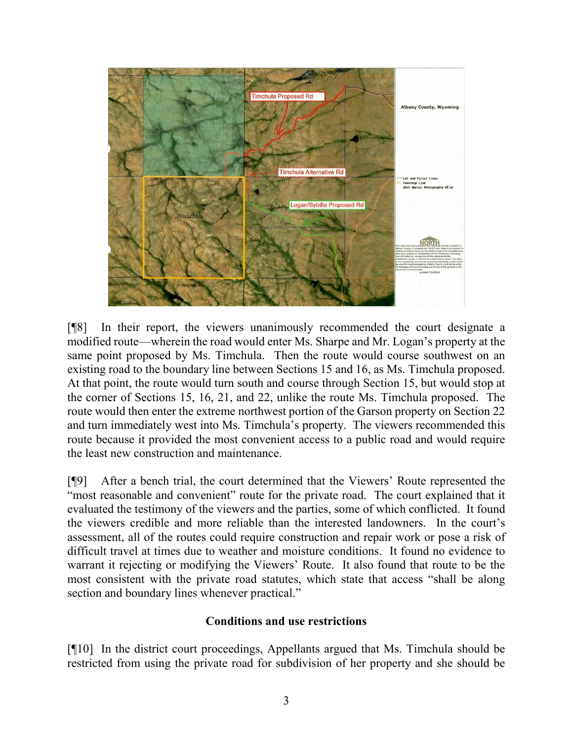

[¶8] In their report, the viewers unanimously recommended the court designate a modified route—wherein the road would enter Ms. Sharpe and Mr. Logan's property at the same point proposed by Ms. Timchula. Then the route would course southwest on an existing road to the boundary line between Sections 15 and 16, as Ms. Timchula proposed. At that point, the route would turn south and course through Section 15, but would stop at the corner of Sections 15, 16, 21, and 22, unlike the route Ms. Timchula proposed. The route would then enter the extreme northwest portion of the Garson property on Section 22 and turn immediately west into Ms. Timchula's property. The viewers recommended this route because it provided the most convenient access to a public road and would require the least new construction and maintenance.

[¶9] After a bench trial, the court determined that the Viewers' Route represented the "most reasonable and convenient" route for the private road. The court explained that it evaluated the testimony of the viewers and the parties, some of which conflicted. It found the viewers credible and more reliable than the interested landowners. In the court's assessment, all of the routes could require construction and repair work or pose a risk of difficult travel at times due to weather and moisture conditions. It found no evidence to warrant it rejecting or modifying the Viewers' Route. It also found that route to be the most consistent with the private road statutes, which state that access "shall be along section and boundary lines whenever practical."

### **Conditions and use restrictions**

[¶10] In the district court proceedings, Appellants argued that Ms. Timchula should be restricted from using the private road for subdivision of her property and she should be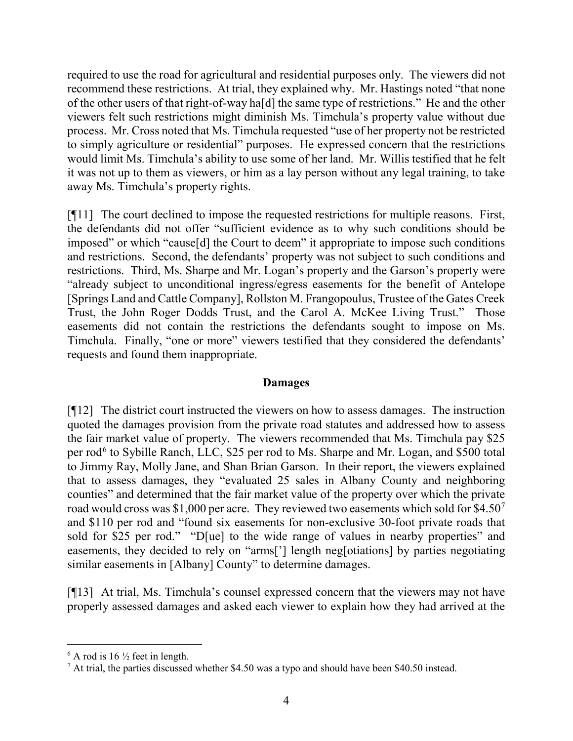required to use the road for agricultural and residential purposes only. The viewers did not recommend these restrictions. At trial, they explained why. Mr. Hastings noted "that none of the other users of that right-of-way ha[d] the same type of restrictions." He and the other viewers felt such restrictions might diminish Ms. Timchula's property value without due process. Mr. Cross noted that Ms. Timchula requested "use of her property not be restricted to simply agriculture or residential" purposes. He expressed concern that the restrictions would limit Ms. Timchula's ability to use some of her land. Mr. Willis testified that he felt it was not up to them as viewers, or him as a lay person without any legal training, to take away Ms. Timchula's property rights.

[¶11] The court declined to impose the requested restrictions for multiple reasons. First, the defendants did not offer "sufficient evidence as to why such conditions should be imposed" or which "cause[d] the Court to deem" it appropriate to impose such conditions and restrictions. Second, the defendants' property was not subject to such conditions and restrictions. Third, Ms. Sharpe and Mr. Logan's property and the Garson's property were "already subject to unconditional ingress/egress easements for the benefit of Antelope [Springs Land and Cattle Company], Rollston M. Frangopoulus, Trustee of the Gates Creek Trust, the John Roger Dodds Trust, and the Carol A. McKee Living Trust." Those easements did not contain the restrictions the defendants sought to impose on Ms. Timchula. Finally, "one or more" viewers testified that they considered the defendants' requests and found them inappropriate.

### **Damages**

[¶12] The district court instructed the viewers on how to assess damages. The instruction quoted the damages provision from the private road statutes and addressed how to assess the fair market value of property. The viewers recommended that Ms. Timchula pay \$25 per rod<sup>[6](#page-5-0)</sup> to Sybille Ranch, LLC, \$25 per rod to Ms. Sharpe and Mr. Logan, and \$500 total to Jimmy Ray, Molly Jane, and Shan Brian Garson. In their report, the viewers explained that to assess damages, they "evaluated 25 sales in Albany County and neighboring counties" and determined that the fair market value of the property over which the private road would cross was \$1,000 per acre. They reviewed two easements which sold for \$4.50<sup>[7](#page-5-1)</sup> and \$110 per rod and "found six easements for non-exclusive 30-foot private roads that sold for \$25 per rod." "D[ue] to the wide range of values in nearby properties" and easements, they decided to rely on "arms['] length neg[otiations] by parties negotiating similar easements in [Albany] County" to determine damages.

[¶13] At trial, Ms. Timchula's counsel expressed concern that the viewers may not have properly assessed damages and asked each viewer to explain how they had arrived at the

<span id="page-5-0"></span> $6$  A rod is 16  $\frac{1}{2}$  feet in length.

<span id="page-5-1"></span> $7$  At trial, the parties discussed whether \$4.50 was a typo and should have been \$40.50 instead.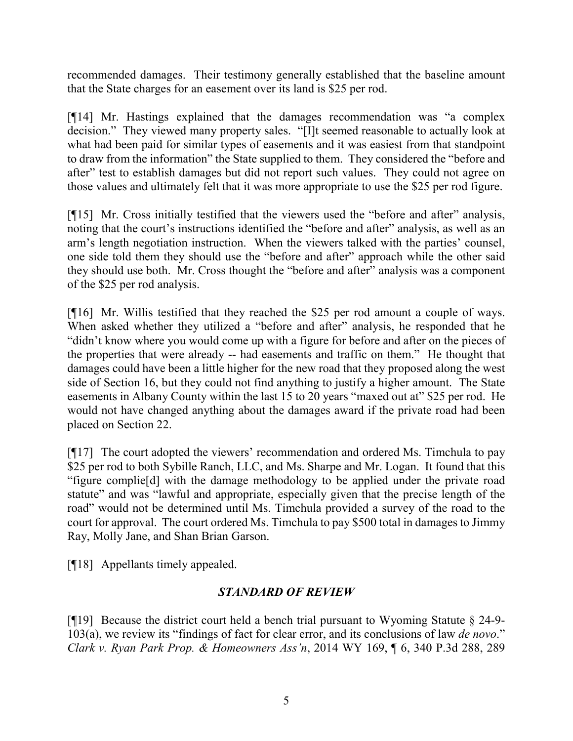recommended damages. Their testimony generally established that the baseline amount that the State charges for an easement over its land is \$25 per rod.

[¶14] Mr. Hastings explained that the damages recommendation was "a complex decision." They viewed many property sales. "[I]t seemed reasonable to actually look at what had been paid for similar types of easements and it was easiest from that standpoint to draw from the information" the State supplied to them. They considered the "before and after" test to establish damages but did not report such values. They could not agree on those values and ultimately felt that it was more appropriate to use the \$25 per rod figure.

[¶15] Mr. Cross initially testified that the viewers used the "before and after" analysis, noting that the court's instructions identified the "before and after" analysis, as well as an arm's length negotiation instruction. When the viewers talked with the parties' counsel, one side told them they should use the "before and after" approach while the other said they should use both. Mr. Cross thought the "before and after" analysis was a component of the \$25 per rod analysis.

[¶16] Mr. Willis testified that they reached the \$25 per rod amount a couple of ways. When asked whether they utilized a "before and after" analysis, he responded that he "didn't know where you would come up with a figure for before and after on the pieces of the properties that were already -- had easements and traffic on them." He thought that damages could have been a little higher for the new road that they proposed along the west side of Section 16, but they could not find anything to justify a higher amount. The State easements in Albany County within the last 15 to 20 years "maxed out at" \$25 per rod. He would not have changed anything about the damages award if the private road had been placed on Section 22.

[¶17] The court adopted the viewers' recommendation and ordered Ms. Timchula to pay \$25 per rod to both Sybille Ranch, LLC, and Ms. Sharpe and Mr. Logan. It found that this "figure complie[d] with the damage methodology to be applied under the private road statute" and was "lawful and appropriate, especially given that the precise length of the road" would not be determined until Ms. Timchula provided a survey of the road to the court for approval. The court ordered Ms. Timchula to pay \$500 total in damages to Jimmy Ray, Molly Jane, and Shan Brian Garson.

[¶18] Appellants timely appealed.

# *STANDARD OF REVIEW*

[ $\llbracket \cdot \rrbracket$ ] Because the district court held a bench trial pursuant to Wyoming Statute § 24-9-103(a), we review its "findings of fact for clear error, and its conclusions of law *de novo*." *Clark v. Ryan Park Prop. & Homeowners Ass'n*, 2014 WY 169, ¶ 6, 340 P.3d 288, 289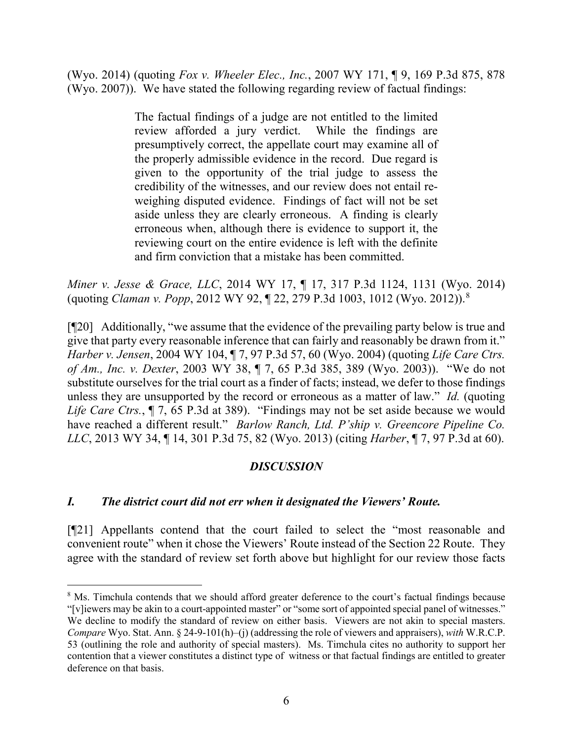(Wyo. 2014) (quoting *Fox v. Wheeler Elec., Inc.*, 2007 WY 171, ¶ 9, 169 P.3d 875, 878 (Wyo. 2007)). We have stated the following regarding review of factual findings:

> The factual findings of a judge are not entitled to the limited review afforded a jury verdict. While the findings are presumptively correct, the appellate court may examine all of the properly admissible evidence in the record. Due regard is given to the opportunity of the trial judge to assess the credibility of the witnesses, and our review does not entail reweighing disputed evidence. Findings of fact will not be set aside unless they are clearly erroneous. A finding is clearly erroneous when, although there is evidence to support it, the reviewing court on the entire evidence is left with the definite and firm conviction that a mistake has been committed.

*Miner v. Jesse & Grace, LLC*, 2014 WY 17, ¶ 17, 317 P.3d 1124, 1131 (Wyo. 2014) (quoting *Claman v. Popp*, 2012 WY 92, ¶ 22, 279 P.3d 1003, 1012 (Wyo. 2012)).[8](#page-7-0)

[¶20] Additionally, "we assume that the evidence of the prevailing party below is true and give that party every reasonable inference that can fairly and reasonably be drawn from it." *Harber v. Jensen*, 2004 WY 104, ¶ 7, 97 P.3d 57, 60 (Wyo. 2004) (quoting *Life Care Ctrs. of Am., Inc. v. Dexter*, 2003 WY 38, ¶ 7, 65 P.3d 385, 389 (Wyo. 2003)). "We do not substitute ourselves for the trial court as a finder of facts; instead, we defer to those findings unless they are unsupported by the record or erroneous as a matter of law." *Id.* (quoting *Life Care Ctrs.*, ¶ 7, 65 P.3d at 389). "Findings may not be set aside because we would have reached a different result." *Barlow Ranch, Ltd. P'ship v. Greencore Pipeline Co. LLC*, 2013 WY 34, ¶ 14, 301 P.3d 75, 82 (Wyo. 2013) (citing *Harber*, ¶ 7, 97 P.3d at 60).

## *DISCUSSION*

## *I. The district court did not err when it designated the Viewers' Route.*

[¶21] Appellants contend that the court failed to select the "most reasonable and convenient route" when it chose the Viewers' Route instead of the Section 22 Route. They agree with the standard of review set forth above but highlight for our review those facts

<span id="page-7-0"></span><sup>&</sup>lt;sup>8</sup> Ms. Timchula contends that we should afford greater deference to the court's factual findings because "[v]iewers may be akin to a court-appointed master" or "some sort of appointed special panel of witnesses." We decline to modify the standard of review on either basis. Viewers are not akin to special masters. *Compare* Wyo. Stat. Ann. § 24-9-101(h)–(j) (addressing the role of viewers and appraisers), *with* W.R.C.P. 53 (outlining the role and authority of special masters). Ms. Timchula cites no authority to support her contention that a viewer constitutes a distinct type of witness or that factual findings are entitled to greater deference on that basis.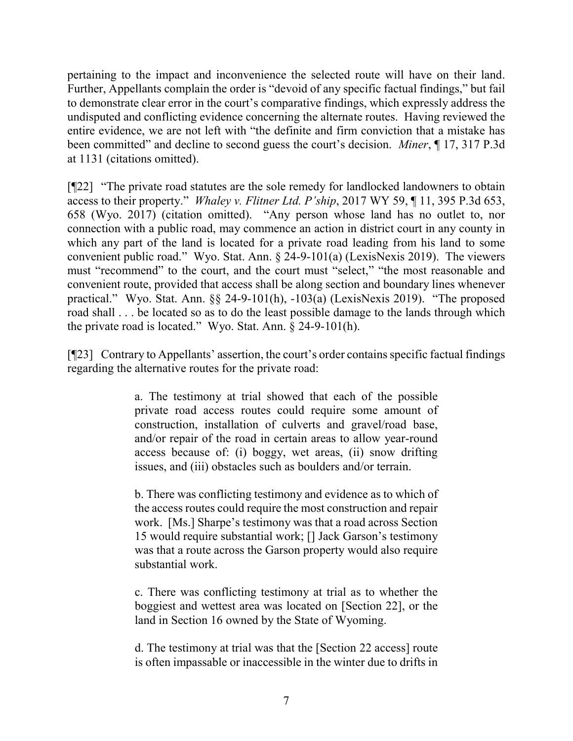pertaining to the impact and inconvenience the selected route will have on their land. Further, Appellants complain the order is "devoid of any specific factual findings," but fail to demonstrate clear error in the court's comparative findings, which expressly address the undisputed and conflicting evidence concerning the alternate routes. Having reviewed the entire evidence, we are not left with "the definite and firm conviction that a mistake has been committed" and decline to second guess the court's decision. *Miner*, ¶ 17, 317 P.3d at 1131 (citations omitted).

[¶22] "The private road statutes are the sole remedy for landlocked landowners to obtain access to their property." *Whaley v. Flitner Ltd. P'ship*, 2017 WY 59, ¶ 11, 395 P.3d 653, 658 (Wyo. 2017) (citation omitted). "Any person whose land has no outlet to, nor connection with a public road, may commence an action in district court in any county in which any part of the land is located for a private road leading from his land to some convenient public road." Wyo. Stat. Ann. § 24-9-101(a) (LexisNexis 2019). The viewers must "recommend" to the court, and the court must "select," "the most reasonable and convenient route, provided that access shall be along section and boundary lines whenever practical." Wyo. Stat. Ann. §§ 24-9-101(h), -103(a) (LexisNexis 2019). "The proposed road shall . . . be located so as to do the least possible damage to the lands through which the private road is located." Wyo. Stat. Ann. § 24-9-101(h).

[¶23] Contrary to Appellants' assertion, the court's order contains specific factual findings regarding the alternative routes for the private road:

> a. The testimony at trial showed that each of the possible private road access routes could require some amount of construction, installation of culverts and gravel/road base, and/or repair of the road in certain areas to allow year-round access because of: (i) boggy, wet areas, (ii) snow drifting issues, and (iii) obstacles such as boulders and/or terrain.

> b. There was conflicting testimony and evidence as to which of the access routes could require the most construction and repair work. [Ms.] Sharpe's testimony was that a road across Section 15 would require substantial work; [] Jack Garson's testimony was that a route across the Garson property would also require substantial work.

> c. There was conflicting testimony at trial as to whether the boggiest and wettest area was located on [Section 22], or the land in Section 16 owned by the State of Wyoming.

> d. The testimony at trial was that the [Section 22 access] route is often impassable or inaccessible in the winter due to drifts in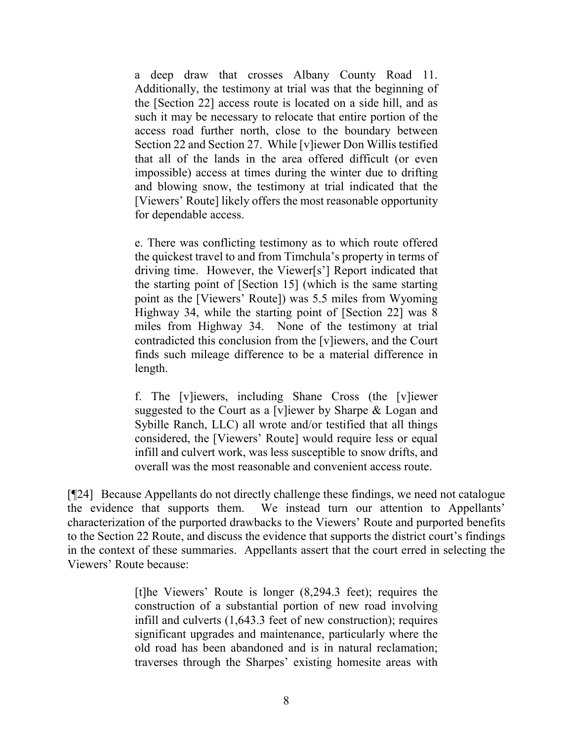a deep draw that crosses Albany County Road 11. Additionally, the testimony at trial was that the beginning of the [Section 22] access route is located on a side hill, and as such it may be necessary to relocate that entire portion of the access road further north, close to the boundary between Section 22 and Section 27. While [v]iewer Don Willis testified that all of the lands in the area offered difficult (or even impossible) access at times during the winter due to drifting and blowing snow, the testimony at trial indicated that the [Viewers' Route] likely offers the most reasonable opportunity for dependable access.

e. There was conflicting testimony as to which route offered the quickest travel to and from Timchula's property in terms of driving time. However, the Viewer[s'] Report indicated that the starting point of [Section 15] (which is the same starting point as the [Viewers' Route]) was 5.5 miles from Wyoming Highway 34, while the starting point of [Section 22] was 8 miles from Highway 34. None of the testimony at trial contradicted this conclusion from the [v]iewers, and the Court finds such mileage difference to be a material difference in length.

f. The [v]iewers, including Shane Cross (the [v]iewer suggested to the Court as a [v]iewer by Sharpe & Logan and Sybille Ranch, LLC) all wrote and/or testified that all things considered, the [Viewers' Route] would require less or equal infill and culvert work, was less susceptible to snow drifts, and overall was the most reasonable and convenient access route.

[¶24] Because Appellants do not directly challenge these findings, we need not catalogue the evidence that supports them. We instead turn our attention to Appellants' characterization of the purported drawbacks to the Viewers' Route and purported benefits to the Section 22 Route, and discuss the evidence that supports the district court's findings in the context of these summaries. Appellants assert that the court erred in selecting the Viewers' Route because:

> [t]he Viewers' Route is longer (8,294.3 feet); requires the construction of a substantial portion of new road involving infill and culverts (1,643.3 feet of new construction); requires significant upgrades and maintenance, particularly where the old road has been abandoned and is in natural reclamation; traverses through the Sharpes' existing homesite areas with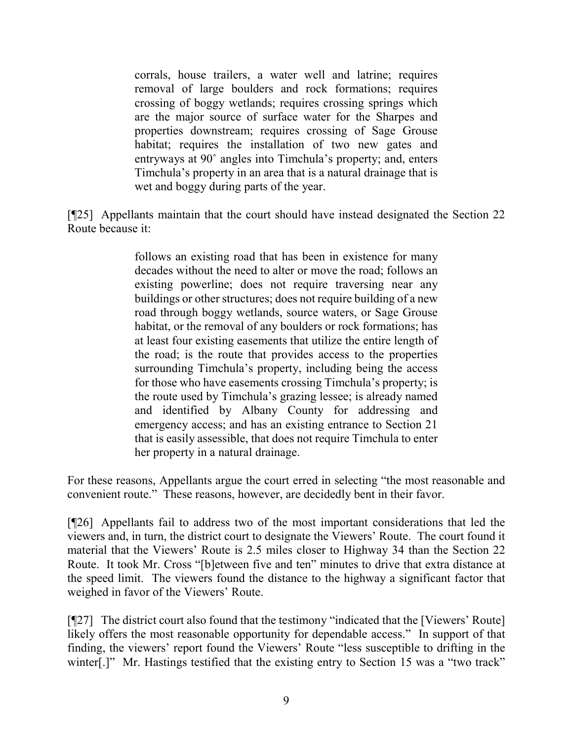corrals, house trailers, a water well and latrine; requires removal of large boulders and rock formations; requires crossing of boggy wetlands; requires crossing springs which are the major source of surface water for the Sharpes and properties downstream; requires crossing of Sage Grouse habitat; requires the installation of two new gates and entryways at 90˚ angles into Timchula's property; and, enters Timchula's property in an area that is a natural drainage that is wet and boggy during parts of the year.

[¶25] Appellants maintain that the court should have instead designated the Section 22 Route because it:

> follows an existing road that has been in existence for many decades without the need to alter or move the road; follows an existing powerline; does not require traversing near any buildings or other structures; does not require building of a new road through boggy wetlands, source waters, or Sage Grouse habitat, or the removal of any boulders or rock formations; has at least four existing easements that utilize the entire length of the road; is the route that provides access to the properties surrounding Timchula's property, including being the access for those who have easements crossing Timchula's property; is the route used by Timchula's grazing lessee; is already named and identified by Albany County for addressing and emergency access; and has an existing entrance to Section 21 that is easily assessible, that does not require Timchula to enter her property in a natural drainage.

For these reasons, Appellants argue the court erred in selecting "the most reasonable and convenient route." These reasons, however, are decidedly bent in their favor.

[¶26] Appellants fail to address two of the most important considerations that led the viewers and, in turn, the district court to designate the Viewers' Route. The court found it material that the Viewers' Route is 2.5 miles closer to Highway 34 than the Section 22 Route. It took Mr. Cross "[b]etween five and ten" minutes to drive that extra distance at the speed limit. The viewers found the distance to the highway a significant factor that weighed in favor of the Viewers' Route.

[¶27] The district court also found that the testimony "indicated that the [Viewers' Route] likely offers the most reasonable opportunity for dependable access." In support of that finding, the viewers' report found the Viewers' Route "less susceptible to drifting in the winter[.]" Mr. Hastings testified that the existing entry to Section 15 was a "two track"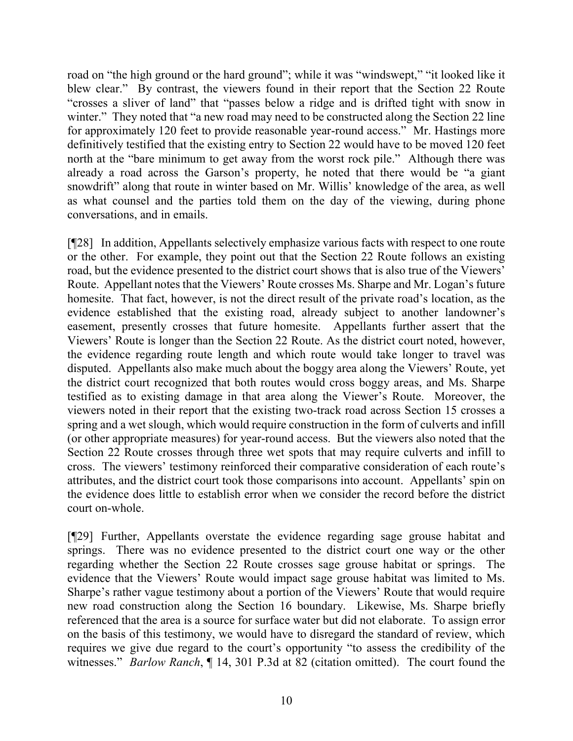road on "the high ground or the hard ground"; while it was "windswept," "it looked like it blew clear." By contrast, the viewers found in their report that the Section 22 Route "crosses a sliver of land" that "passes below a ridge and is drifted tight with snow in winter." They noted that "a new road may need to be constructed along the Section 22 line for approximately 120 feet to provide reasonable year-round access." Mr. Hastings more definitively testified that the existing entry to Section 22 would have to be moved 120 feet north at the "bare minimum to get away from the worst rock pile." Although there was already a road across the Garson's property, he noted that there would be "a giant snowdrift" along that route in winter based on Mr. Willis' knowledge of the area, as well as what counsel and the parties told them on the day of the viewing, during phone conversations, and in emails.

[¶28] In addition, Appellants selectively emphasize various facts with respect to one route or the other. For example, they point out that the Section 22 Route follows an existing road, but the evidence presented to the district court shows that is also true of the Viewers' Route. Appellant notes that the Viewers' Route crosses Ms. Sharpe and Mr. Logan's future homesite. That fact, however, is not the direct result of the private road's location, as the evidence established that the existing road, already subject to another landowner's easement, presently crosses that future homesite. Appellants further assert that the Viewers' Route is longer than the Section 22 Route. As the district court noted, however, the evidence regarding route length and which route would take longer to travel was disputed. Appellants also make much about the boggy area along the Viewers' Route, yet the district court recognized that both routes would cross boggy areas, and Ms. Sharpe testified as to existing damage in that area along the Viewer's Route. Moreover, the viewers noted in their report that the existing two-track road across Section 15 crosses a spring and a wet slough, which would require construction in the form of culverts and infill (or other appropriate measures) for year-round access. But the viewers also noted that the Section 22 Route crosses through three wet spots that may require culverts and infill to cross. The viewers' testimony reinforced their comparative consideration of each route's attributes, and the district court took those comparisons into account. Appellants' spin on the evidence does little to establish error when we consider the record before the district court on-whole.

[¶29] Further, Appellants overstate the evidence regarding sage grouse habitat and springs. There was no evidence presented to the district court one way or the other regarding whether the Section 22 Route crosses sage grouse habitat or springs. The evidence that the Viewers' Route would impact sage grouse habitat was limited to Ms. Sharpe's rather vague testimony about a portion of the Viewers' Route that would require new road construction along the Section 16 boundary. Likewise, Ms. Sharpe briefly referenced that the area is a source for surface water but did not elaborate. To assign error on the basis of this testimony, we would have to disregard the standard of review, which requires we give due regard to the court's opportunity "to assess the credibility of the witnesses." *Barlow Ranch*, ¶ 14, 301 P.3d at 82 (citation omitted). The court found the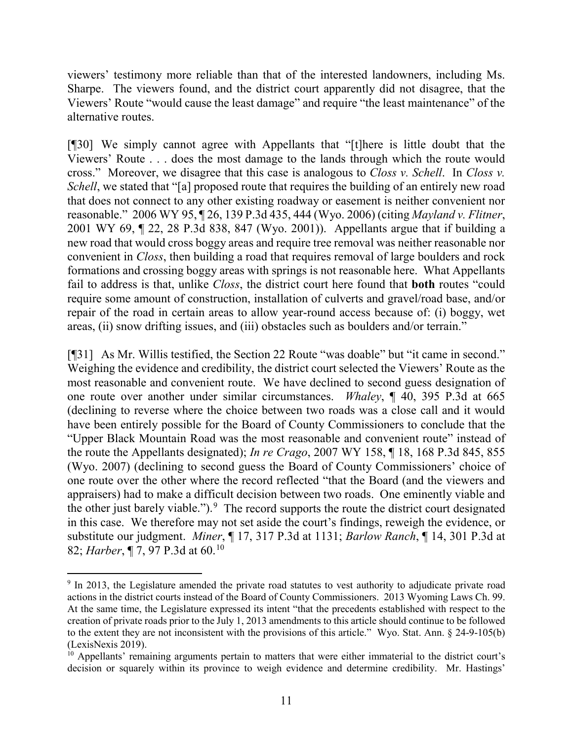viewers' testimony more reliable than that of the interested landowners, including Ms. Sharpe. The viewers found, and the district court apparently did not disagree, that the Viewers' Route "would cause the least damage" and require "the least maintenance" of the alternative routes.

[¶30] We simply cannot agree with Appellants that "[t]here is little doubt that the Viewers' Route . . . does the most damage to the lands through which the route would cross." Moreover, we disagree that this case is analogous to *Closs v. Schell*. In *Closs v. Schell*, we stated that "[a] proposed route that requires the building of an entirely new road that does not connect to any other existing roadway or easement is neither convenient nor reasonable." 2006 WY 95, ¶ 26, 139 P.3d 435, 444 (Wyo. 2006) (citing *Mayland v. Flitner*, 2001 WY 69, ¶ 22, 28 P.3d 838, 847 (Wyo. 2001)). Appellants argue that if building a new road that would cross boggy areas and require tree removal was neither reasonable nor convenient in *Closs*, then building a road that requires removal of large boulders and rock formations and crossing boggy areas with springs is not reasonable here. What Appellants fail to address is that, unlike *Closs*, the district court here found that **both** routes "could require some amount of construction, installation of culverts and gravel/road base, and/or repair of the road in certain areas to allow year-round access because of: (i) boggy, wet areas, (ii) snow drifting issues, and (iii) obstacles such as boulders and/or terrain."

[¶31] As Mr. Willis testified, the Section 22 Route "was doable" but "it came in second." Weighing the evidence and credibility, the district court selected the Viewers' Route as the most reasonable and convenient route. We have declined to second guess designation of one route over another under similar circumstances. *Whaley*, ¶ 40, 395 P.3d at 665 (declining to reverse where the choice between two roads was a close call and it would have been entirely possible for the Board of County Commissioners to conclude that the "Upper Black Mountain Road was the most reasonable and convenient route" instead of the route the Appellants designated); *In re Crago*, 2007 WY 158, ¶ 18, 168 P.3d 845, 855 (Wyo. 2007) (declining to second guess the Board of County Commissioners' choice of one route over the other where the record reflected "that the Board (and the viewers and appraisers) had to make a difficult decision between two roads. One eminently viable and the other just barely viable.").<sup>[9](#page-12-0)</sup> The record supports the route the district court designated in this case. We therefore may not set aside the court's findings, reweigh the evidence, or substitute our judgment. *Miner*, ¶ 17, 317 P.3d at 1131; *Barlow Ranch*, ¶ 14, 301 P.3d at 82; *Harber*, ¶ 7, 97 P.3d at 60.[10](#page-12-1)

<span id="page-12-0"></span><sup>&</sup>lt;sup>9</sup> In 2013, the Legislature amended the private road statutes to vest authority to adjudicate private road actions in the district courts instead of the Board of County Commissioners. 2013 Wyoming Laws Ch. 99. At the same time, the Legislature expressed its intent "that the precedents established with respect to the creation of private roads prior to the July 1, 2013 amendments to this article should continue to be followed to the extent they are not inconsistent with the provisions of this article." Wyo. Stat. Ann. § 24-9-105(b) (LexisNexis 2019).

<span id="page-12-1"></span> $10$  Appellants' remaining arguments pertain to matters that were either immaterial to the district court's decision or squarely within its province to weigh evidence and determine credibility. Mr. Hastings'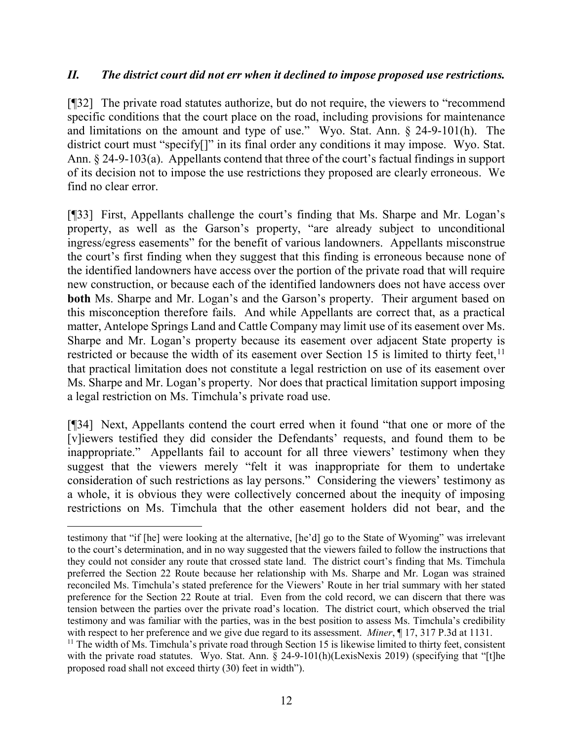## *II. The district court did not err when it declined to impose proposed use restrictions.*

[¶32] The private road statutes authorize, but do not require, the viewers to "recommend specific conditions that the court place on the road, including provisions for maintenance and limitations on the amount and type of use." Wyo. Stat. Ann. § 24-9-101(h). The district court must "specify[]" in its final order any conditions it may impose. Wyo. Stat. Ann. § 24-9-103(a). Appellants contend that three of the court's factual findings in support of its decision not to impose the use restrictions they proposed are clearly erroneous. We find no clear error.

[¶33] First, Appellants challenge the court's finding that Ms. Sharpe and Mr. Logan's property, as well as the Garson's property, "are already subject to unconditional ingress/egress easements" for the benefit of various landowners. Appellants misconstrue the court's first finding when they suggest that this finding is erroneous because none of the identified landowners have access over the portion of the private road that will require new construction, or because each of the identified landowners does not have access over **both** Ms. Sharpe and Mr. Logan's and the Garson's property. Their argument based on this misconception therefore fails. And while Appellants are correct that, as a practical matter, Antelope Springs Land and Cattle Company may limit use of its easement over Ms. Sharpe and Mr. Logan's property because its easement over adjacent State property is restricted or because the width of its easement over Section 15 is limited to thirty feet,  $11$ that practical limitation does not constitute a legal restriction on use of its easement over Ms. Sharpe and Mr. Logan's property. Nor does that practical limitation support imposing a legal restriction on Ms. Timchula's private road use.

[¶34] Next, Appellants contend the court erred when it found "that one or more of the [v]iewers testified they did consider the Defendants' requests, and found them to be inappropriate." Appellants fail to account for all three viewers' testimony when they suggest that the viewers merely "felt it was inappropriate for them to undertake consideration of such restrictions as lay persons." Considering the viewers' testimony as a whole, it is obvious they were collectively concerned about the inequity of imposing restrictions on Ms. Timchula that the other easement holders did not bear, and the

testimony that "if [he] were looking at the alternative, [he'd] go to the State of Wyoming" was irrelevant to the court's determination, and in no way suggested that the viewers failed to follow the instructions that they could not consider any route that crossed state land. The district court's finding that Ms. Timchula preferred the Section 22 Route because her relationship with Ms. Sharpe and Mr. Logan was strained reconciled Ms. Timchula's stated preference for the Viewers' Route in her trial summary with her stated preference for the Section 22 Route at trial. Even from the cold record, we can discern that there was tension between the parties over the private road's location. The district court, which observed the trial testimony and was familiar with the parties, was in the best position to assess Ms. Timchula's credibility with respect to her preference and we give due regard to its assessment. *Miner*, ¶ 17, 317 P.3d at 1131.

<span id="page-13-0"></span><sup>&</sup>lt;sup>11</sup> The width of Ms. Timchula's private road through Section 15 is likewise limited to thirty feet, consistent with the private road statutes. Wyo. Stat. Ann. § 24-9-101(h)(LexisNexis 2019) (specifying that "[t]he proposed road shall not exceed thirty (30) feet in width").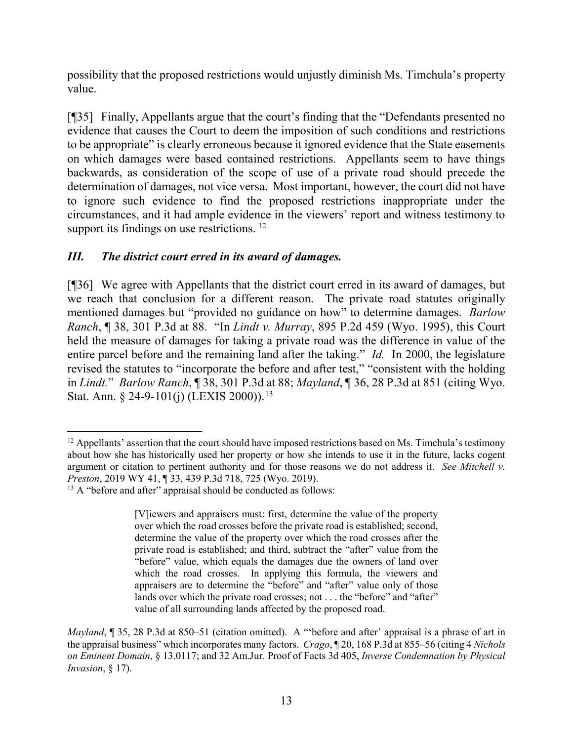possibility that the proposed restrictions would unjustly diminish Ms. Timchula's property value.

[¶35] Finally, Appellants argue that the court's finding that the "Defendants presented no evidence that causes the Court to deem the imposition of such conditions and restrictions to be appropriate" is clearly erroneous because it ignored evidence that the State easements on which damages were based contained restrictions. Appellants seem to have things backwards, as consideration of the scope of use of a private road should precede the determination of damages, not vice versa. Most important, however, the court did not have to ignore such evidence to find the proposed restrictions inappropriate under the circumstances, and it had ample evidence in the viewers' report and witness testimony to support its findings on use restrictions.<sup>12</sup>

# *III. The district court erred in its award of damages.*

[¶36] We agree with Appellants that the district court erred in its award of damages, but we reach that conclusion for a different reason. The private road statutes originally mentioned damages but "provided no guidance on how" to determine damages. *Barlow Ranch*, ¶ 38, 301 P.3d at 88. "In *Lindt v. Murray*, 895 P.2d 459 (Wyo. 1995), this Court held the measure of damages for taking a private road was the difference in value of the entire parcel before and the remaining land after the taking." *Id.* In 2000, the legislature revised the statutes to "incorporate the before and after test," "consistent with the holding in *Lindt.*" *Barlow Ranch*, ¶ 38, 301 P.3d at 88; *Mayland*, ¶ 36, 28 P.3d at 851 (citing Wyo. Stat. Ann. § 24-9-101(j) (LEXIS 2000)).<sup>[13](#page-14-1)</sup>

<span id="page-14-0"></span> $12$  Appellants' assertion that the court should have imposed restrictions based on Ms. Timchula's testimony about how she has historically used her property or how she intends to use it in the future, lacks cogent argument or citation to pertinent authority and for those reasons we do not address it. *See Mitchell v. Preston*, 2019 WY 41, ¶ 33, 439 P.3d 718, 725 (Wyo. 2019).

<span id="page-14-1"></span><sup>&</sup>lt;sup>13</sup> A "before and after" appraisal should be conducted as follows:

<sup>[</sup>V]iewers and appraisers must: first, determine the value of the property over which the road crosses before the private road is established; second, determine the value of the property over which the road crosses after the private road is established; and third, subtract the "after" value from the "before" value, which equals the damages due the owners of land over which the road crosses. In applying this formula, the viewers and appraisers are to determine the "before" and "after" value only of those lands over which the private road crosses; not . . . the "before" and "after" value of all surrounding lands affected by the proposed road.

*Mayland*, ¶ 35, 28 P.3d at 850–51 (citation omitted). A "'before and after' appraisal is a phrase of art in the appraisal business" which incorporates many factors. *Crago*, ¶ 20, 168 P.3d at 855–56 (citing 4 *Nichols on Eminent Domain*, § 13.0117; and 32 Am.Jur. Proof of Facts 3d 405, *Inverse Condemnation by Physical Invasion*, § 17).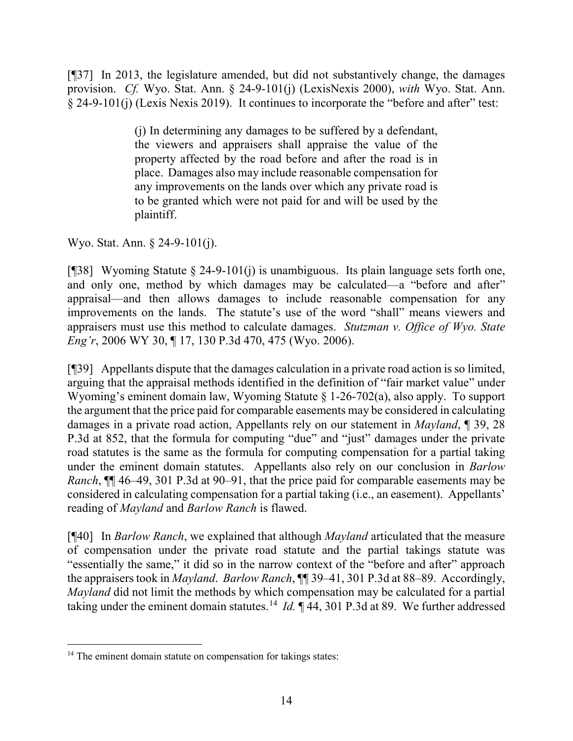[¶37] In 2013, the legislature amended, but did not substantively change, the damages provision. *Cf.* Wyo. Stat. Ann. § 24-9-101(j) (LexisNexis 2000), *with* Wyo. Stat. Ann. § 24-9-101(j) (Lexis Nexis 2019). It continues to incorporate the "before and after" test:

> (j) In determining any damages to be suffered by a defendant, the viewers and appraisers shall appraise the value of the property affected by the road before and after the road is in place. Damages also may include reasonable compensation for any improvements on the lands over which any private road is to be granted which were not paid for and will be used by the plaintiff.

Wyo. Stat. Ann. § 24-9-101(j).

[ $[$ ][38] Wyoming Statute  $\S$  24-9-101(j) is unambiguous. Its plain language sets forth one, and only one, method by which damages may be calculated—a "before and after" appraisal—and then allows damages to include reasonable compensation for any improvements on the lands. The statute's use of the word "shall" means viewers and appraisers must use this method to calculate damages. *Stutzman v. Office of Wyo. State Eng'r*, 2006 WY 30, ¶ 17, 130 P.3d 470, 475 (Wyo. 2006).

[¶39] Appellants dispute that the damages calculation in a private road action is so limited, arguing that the appraisal methods identified in the definition of "fair market value" under Wyoming's eminent domain law, Wyoming Statute § 1-26-702(a), also apply. To support the argument that the price paid for comparable easements may be considered in calculating damages in a private road action, Appellants rely on our statement in *Mayland*, ¶ 39, 28 P.3d at 852, that the formula for computing "due" and "just" damages under the private road statutes is the same as the formula for computing compensation for a partial taking under the eminent domain statutes. Appellants also rely on our conclusion in *Barlow Ranch*, ¶¶ 46–49, 301 P.3d at 90–91, that the price paid for comparable easements may be considered in calculating compensation for a partial taking (i.e., an easement). Appellants' reading of *Mayland* and *Barlow Ranch* is flawed.

[¶40] In *Barlow Ranch*, we explained that although *Mayland* articulated that the measure of compensation under the private road statute and the partial takings statute was "essentially the same," it did so in the narrow context of the "before and after" approach the appraisers took in *Mayland*. *Barlow Ranch*, ¶¶ 39–41, 301 P.3d at 88–89. Accordingly, *Mayland* did not limit the methods by which compensation may be calculated for a partial taking under the eminent domain statutes.<sup>14</sup> *Id.*  $\parallel$  44, 301 P.3d at 89. We further addressed

<span id="page-15-0"></span><sup>&</sup>lt;sup>14</sup> The eminent domain statute on compensation for takings states: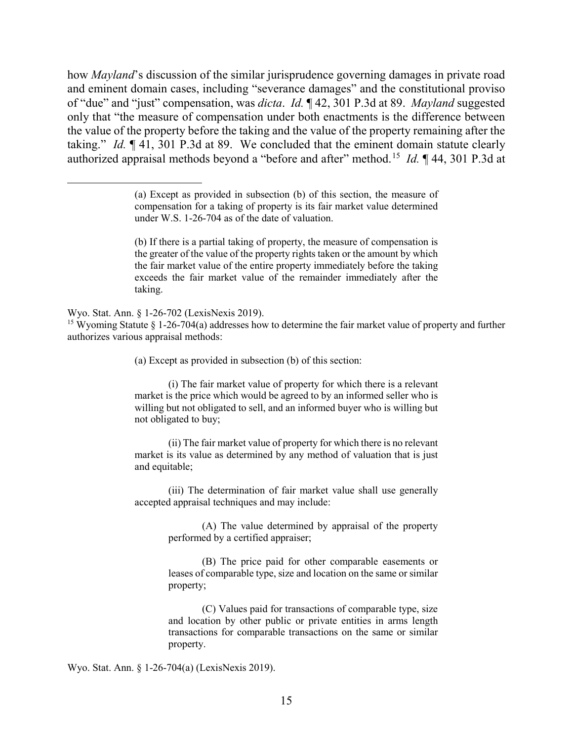how *Mayland*'s discussion of the similar jurisprudence governing damages in private road and eminent domain cases, including "severance damages" and the constitutional proviso of "due" and "just" compensation, was *dicta*. *Id.* ¶ 42, 301 P.3d at 89. *Mayland* suggested only that "the measure of compensation under both enactments is the difference between the value of the property before the taking and the value of the property remaining after the taking." *Id.* ¶ 41, 301 P.3d at 89. We concluded that the eminent domain statute clearly authorized appraisal methods beyond a "before and after" method.[15](#page-16-0) *Id.* ¶ 44, 301 P.3d at

(b) If there is a partial taking of property, the measure of compensation is the greater of the value of the property rights taken or the amount by which the fair market value of the entire property immediately before the taking exceeds the fair market value of the remainder immediately after the taking.

Wyo. Stat. Ann. § 1-26-702 (LexisNexis 2019).

 $\overline{a}$ 

<span id="page-16-0"></span><sup>15</sup> Wyoming Statute § 1-26-704(a) addresses how to determine the fair market value of property and further authorizes various appraisal methods:

(a) Except as provided in subsection (b) of this section:

(i) The fair market value of property for which there is a relevant market is the price which would be agreed to by an informed seller who is willing but not obligated to sell, and an informed buyer who is willing but not obligated to buy;

(ii) The fair market value of property for which there is no relevant market is its value as determined by any method of valuation that is just and equitable;

(iii) The determination of fair market value shall use generally accepted appraisal techniques and may include:

> (A) The value determined by appraisal of the property performed by a certified appraiser;

> (B) The price paid for other comparable easements or leases of comparable type, size and location on the same or similar property;

> (C) Values paid for transactions of comparable type, size and location by other public or private entities in arms length transactions for comparable transactions on the same or similar property.

Wyo. Stat. Ann. § 1-26-704(a) (LexisNexis 2019).

<sup>(</sup>a) Except as provided in subsection (b) of this section, the measure of compensation for a taking of property is its fair market value determined under W.S. 1-26-704 as of the date of valuation.